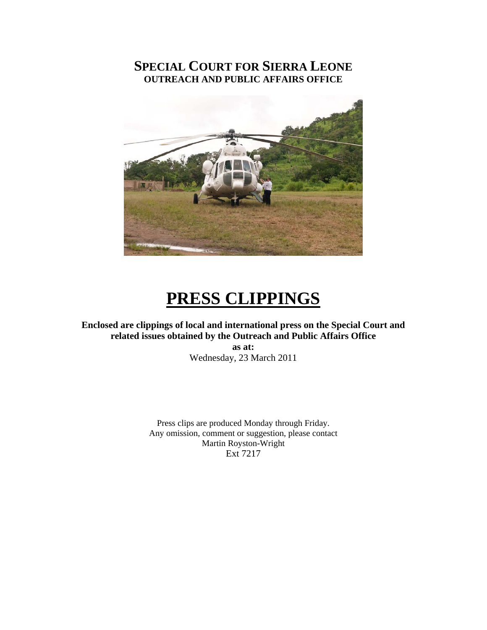### **SPECIAL COURT FOR SIERRA LEONE OUTREACH AND PUBLIC AFFAIRS OFFICE**



# **PRESS CLIPPINGS**

#### **Enclosed are clippings of local and international press on the Special Court and related issues obtained by the Outreach and Public Affairs Office**

**as at:**  Wednesday, 23 March 2011

Press clips are produced Monday through Friday. Any omission, comment or suggestion, please contact Martin Royston-Wright Ext 7217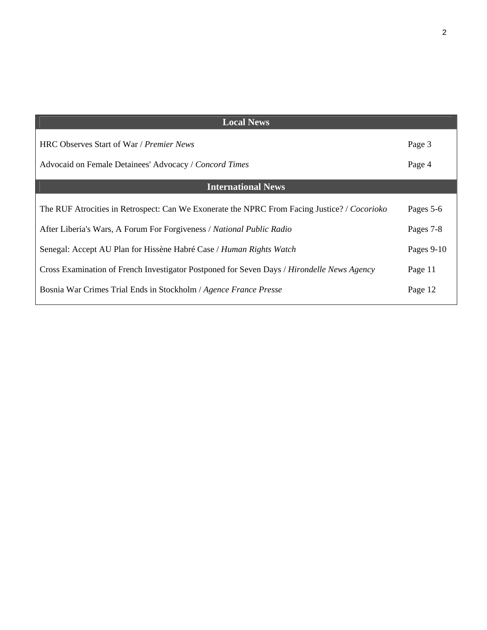| <b>Local News</b>                                                                                  |                  |
|----------------------------------------------------------------------------------------------------|------------------|
| HRC Observes Start of War / Premier News<br>Advocaid on Female Detainees' Advocacy / Concord Times | Page 3<br>Page 4 |
|                                                                                                    |                  |
| <b>International News</b>                                                                          |                  |
|                                                                                                    |                  |
| The RUF Atrocities in Retrospect: Can We Exonerate the NPRC From Facing Justice? / Cocorioko       | Pages 5-6        |
| After Liberia's Wars, A Forum For Forgiveness / National Public Radio                              | Pages 7-8        |
| Senegal: Accept AU Plan for Hissène Habré Case / Human Rights Watch                                | Pages $9-10$     |
| Cross Examination of French Investigator Postponed for Seven Days / Hirondelle News Agency         | Page 11          |
| Bosnia War Crimes Trial Ends in Stockholm / Agence France Presse                                   | Page 12          |
|                                                                                                    |                  |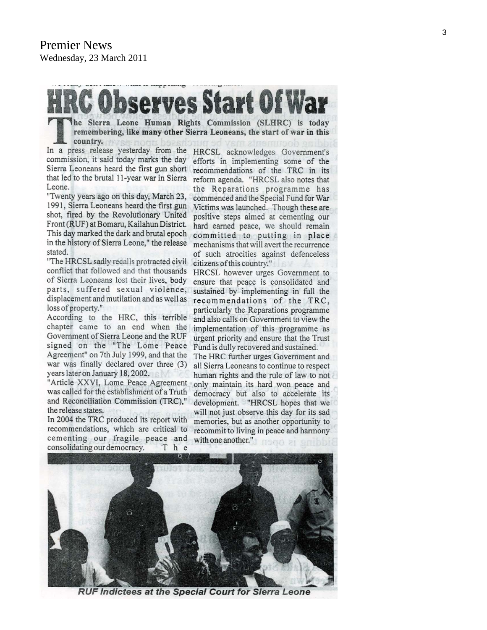# serves Start Of

he Sierra Leone Human Rights Commission (SLHRC) is today remembering, like many other Sierra Leoneans, the start of war in this country.

In a press release yesterday from the HRCSL acknowledges Government's commission, it said today marks the day Sierra Leoneans heard the first gun short recommendations of the TRC in its that led to the brutal 11-year war in Sierra Leone.

"Twenty years ago on this day, March 23, 1991, Sierra Leoneans heard the first gun shot, fired by the Revolutionary United Front (RUF) at Bomaru, Kailahun District. This day marked the dark and brutal epoch in the history of Sierra Leone," the release stated.

"The HRCSL sadly recalls protracted civil citizens of this country." conflict that followed and that thousands of Sierra Leoneans lost their lives, body parts, suffered sexual violence, displacement and mutilation and as well as loss of property."

According to the HRC, this terrible chapter came to an end when the Government of Sierra Leone and the RUF signed on the "The Lome Peace Agreement" on 7th July 1999, and that the war was finally declared over three (3) years later on January 18, 2002.

"Article XXVI, Lome Peace Agreement was called for the establishment of a Truth and Reconciliation Commission (TRC)," the release states.

In 2004 the TRC produced its report with recommendations, which are critical to cementing our fragile peace and consolidating our democracy. T h e

efforts in implementing some of the reform agenda. "HRCSL also notes that the Reparations programme has commenced and the Special Fund for War Victims was launched. Though these are positive steps aimed at cementing our hard earned peace, we should remain committed to putting in place mechanisms that will avert the recurrence of such atrocities against defenceless

HRCSL however urges Government to ensure that peace is consolidated and sustained by implementing in full the recommendations of the TRC, particularly the Reparations programme and also calls on Government to view the implementation of this programme as urgent priority and ensure that the Trust Fund is dully recovered and sustained.

The HRC further urges Government and all Sierra Leoneans to continue to respect human rights and the rule of law to not only maintain its hard won peace and democracy but also to accelerate its development. "HRCSL hopes that we will not just observe this day for its sad memories, but as another opportunity to recommit to living in peace and harmony with one another."



**RUF Indictees at the Special Court for Sierra Leone**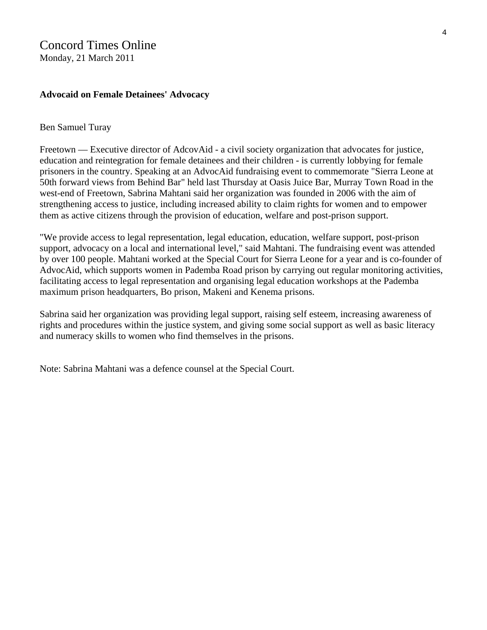#### Concord Times Online

Monday, 21 March 2011

#### **Advocaid on Female Detainees' Advocacy**

#### Ben Samuel Turay

Freetown — Executive director of AdcovAid - a civil society organization that advocates for justice, education and reintegration for female detainees and their children - is currently lobbying for female prisoners in the country. Speaking at an AdvocAid fundraising event to commemorate "Sierra Leone at 50th forward views from Behind Bar" held last Thursday at Oasis Juice Bar, Murray Town Road in the west-end of Freetown, Sabrina Mahtani said her organization was founded in 2006 with the aim of strengthening access to justice, including increased ability to claim rights for women and to empower them as active citizens through the provision of education, welfare and post-prison support.

"We provide access to legal representation, legal education, education, welfare support, post-prison support, advocacy on a local and international level," said Mahtani. The fundraising event was attended by over 100 people. Mahtani worked at the Special Court for Sierra Leone for a year and is co-founder of AdvocAid, which supports women in Pademba Road prison by carrying out regular monitoring activities, facilitating access to legal representation and organising legal education workshops at the Pademba maximum prison headquarters, Bo prison, Makeni and Kenema prisons.

Sabrina said her organization was providing legal support, raising self esteem, increasing awareness of rights and procedures within the justice system, and giving some social support as well as basic literacy and numeracy skills to women who find themselves in the prisons.

Note: Sabrina Mahtani was a defence counsel at the Special Court.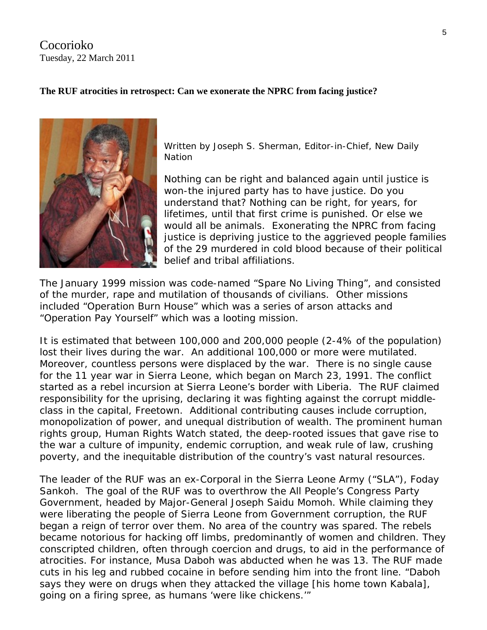Cocorioko Tuesday, 22 March 2011

#### **The RUF atrocities in retrospect: Can we exonerate the NPRC from facing justice?**



*Written by Joseph S. Sherman, Editor-in-Chief, New Daily Nation*

Nothing can be right and balanced again until justice is won-the injured party has to have justice. Do you understand that? Nothing can be right, for years, for lifetimes, until that first crime is punished. Or else we would all be animals. Exonerating the NPRC from facing justice is depriving justice to the aggrieved people f amilies of the 29 murdered in cold blood because of their political belief and tribal affiliations.

The January 1999 mission was code-named "Spare No Living Thing", and consisted of the murder, rape and mutilation of thousands of civilians. Other missions included "Operation Burn House" which was a series of arson attacks and "Operation Pay Yourself" which was a looting mission.

It is estimated that between 100,000 and 200,000 people (2-4% of the population) lost their lives during the war. An additional 100,000 or more were mutilated. Moreover, countless persons were displaced by the war. There is no single cause for the 11 year war in Sierra Leone, which began on March 23, 1991. The conflict started as a rebel incursion at Sierra Leone's border with Liberia. The RUF claimed responsibility for the uprising, declaring it was fighting against the corrupt middleclass in the capital, Freetown. Additional contributing causes include corruption, monopolization of power, and unequal distribution of wealth. The prominent human rights group, Human Rights Watch stated, the deep-rooted issues that gave rise to the war a culture of impunity, endemic corruption, and weak rule of law, crushing poverty, and the inequitable distribution of the country's vast natural resources.

The leader of the RUF was an ex-Corporal in the Sierra Leone Army ("SLA"), Foday Sankoh. The goal of the RUF was to overthrow the All People's Congress Party Government, headed by Major-General Joseph Saidu Momoh. While claiming they were liberating the people of Sierra Leone from Government corruption, the RUF began a reign of terror over them. No area of the country was spared. The rebels became notorious for hacking off limbs, predominantly of women and children. They conscripted children, often through coercion and drugs, to aid in the performance of atrocities. For instance, Musa Daboh was abducted when he was 13. The RUF made cuts in his leg and rubbed cocaine in before sending him into the front line. "Daboh says they were on drugs when they attacked the village [his home town Kabala], going on a firing spree, as humans 'were like chickens.'"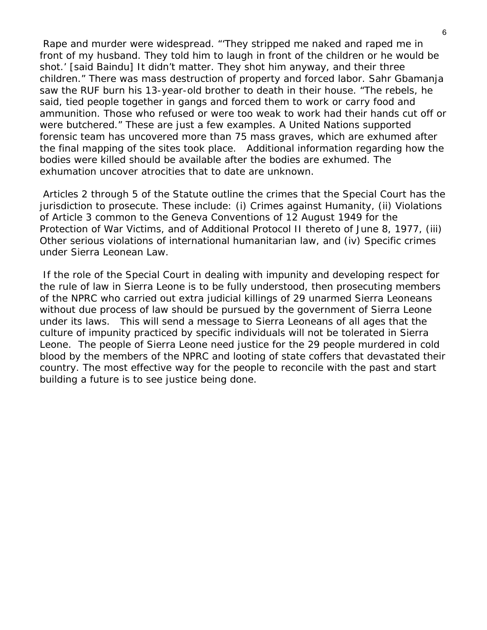Rape and murder were widespread. "'They stripped me naked and raped me in front of my husband. They told him to laugh in front of the children or he would be shot.' [said Baindu] It didn't matter. They shot him anyway, and their three children." There was mass destruction of property and forced labor. Sahr Gbamanja saw the RUF burn his 13-year-old brother to death in their house. "The rebels, he said, tied people together in gangs and forced them to work or carry food and ammunition. Those who refused or were too weak to work had their hands cut off or were butchered." These are just a few examples. A United Nations supported forensic team has uncovered more than 75 mass graves, which are exhumed after the final mapping of the sites took place. Additional information regarding how the bodies were killed should be available after the bodies are exhumed. The exhumation uncover atrocities that to date are unknown.

 Articles 2 through 5 of the Statute outline the crimes that the Special Court has the jurisdiction to prosecute. These include: (i) Crimes against Humanity, (ii) Violations of Article 3 common to the Geneva Conventions of 12 August 1949 for the Protection of War Victims, and of Additional Protocol II thereto of June 8, 1977, (iii) Other serious violations of international humanitarian law, and (iv) Specific crimes under Sierra Leonean Law.

 If the role of the Special Court in dealing with impunity and developing respect for the rule of law in Sierra Leone is to be fully understood, then prosecuting members of the NPRC who carried out extra judicial killings of 29 unarmed Sierra Leoneans without due process of law should be pursued by the government of Sierra Leone under its laws. This will send a message to Sierra Leoneans of all ages that the culture of impunity practiced by specific individuals will not be tolerated in Sierra Leone. The people of Sierra Leone need justice for the 29 people murdered in cold blood by the members of the NPRC and looting of state coffers that devastated their country. The most effective way for the people to reconcile with the past and start building a future is to see justice being done.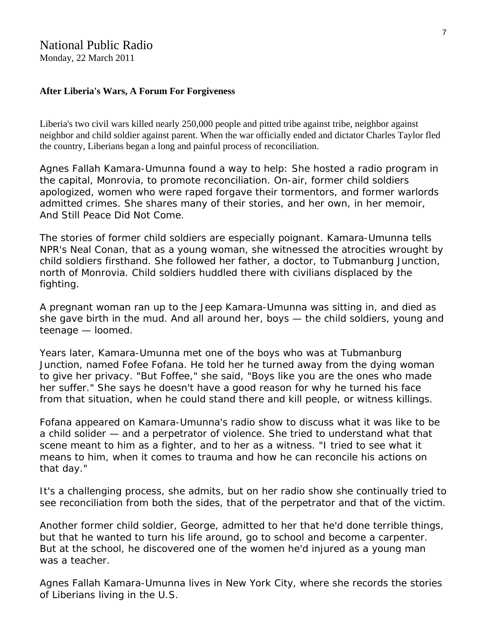Monday, 22 March 2011

#### **After Liberia's Wars, A Forum For Forgiveness**

Liberia's two civil wars killed nearly 250,000 people and pitted tribe against tribe, neighbor against neighbor and child soldier against parent. When the war officially ended and dictator Charles Taylor fled the country, Liberians began a long and painful process of reconciliation.

Agnes Fallah Kamara-Umunna found a way to help: She hosted a radio program in the capital, Monrovia, to promote reconciliation. On-air, former child soldiers apologized, women who were raped forgave their tormentors, and former warlords admitted crimes. She shares many of their stories, and her own, in her memoir, *And Still Peace Did Not Come*.

The stories of former child soldiers are especially poignant. Kamara-Umunna tells NPR's Neal Conan, that as a young woman, she witnessed the atrocities wrought by child soldiers firsthand. She followed her father, a doctor, to Tubmanburg Junction, north of Monrovia. Child soldiers huddled there with civilians displaced by the fighting.

A pregnant woman ran up to the Jeep Kamara-Umunna was sitting in, and died as she gave birth in the mud. And all around her, boys — the child soldiers, young and teenage — loomed.

Years later, Kamara-Umunna met one of the boys who was at Tubmanburg Junction, named Fofee Fofana. He told her he turned away from the dying woman to give her privacy. "But Foffee," she said, "Boys like you are the ones who *made*  her suffer." She says he doesn't have a good reason for why he turned his face from that situation, when he could stand there and kill people, or witness killings.

Fofana appeared on Kamara-Umunna's radio show to discuss what it was like to be a child solider — and a perpetrator of violence. She tried to understand what that scene meant to him as a fighter, and to her as a witness. "I tried to see what it means to him, when it comes to trauma and how he can reconcile his actions on that day."

It's a challenging process, she admits, but on her radio show she continually tried to see reconciliation from both the sides, that of the perpetrator and that of the victim.

Another former child soldier, George, admitted to her that he'd done terrible things, but that he wanted to turn his life around, go to school and become a carpenter. But at the school, he discovered one of the women he'd injured as a young man was a teacher.

Agnes Fallah Kamara-Umunna lives in New York City, where she records the stories of Liberians living in the U.S.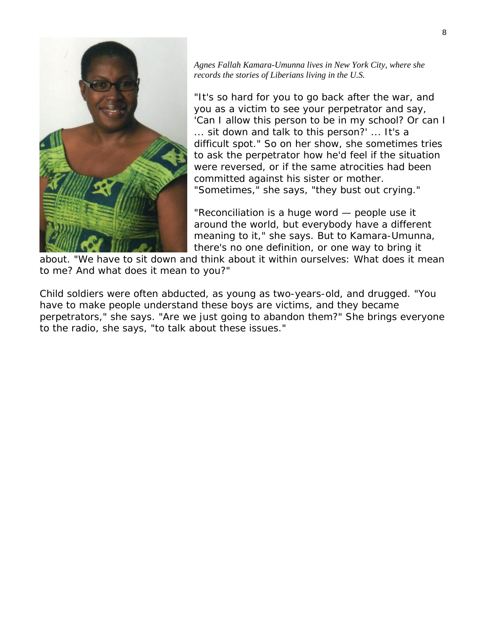

*Agnes Fallah Kamara-Umunna lives in New York City, where she records the stories of Liberians living in the U.S.* 

"It's so hard for you to go back after the war, and you as a victim to see your perpetrator and say, 'Can I allow this person to be in my school? Or can I ... sit down and talk to this person?' ... It's a difficult spot." So on her show, she sometimes tries to ask the perpetrator how he'd feel if the situation were reversed, or if the same atrocities had been committed against his sister or mother. "Sometimes," she says, "they bust out crying."

"Reconciliation is a huge word — people use it around the world, but everybody have a different meaning to it," she says. But to Kamara-Umunna, there's no one definition, or one way to bring it

about. "We have to sit down and think about it within ourselves: What does it mean to me? And what does it mean to you?"

Child soldiers were often abducted, as young as two-years-old, and drugged. "You have to make people understand these boys are victims, and they became perpetrators," she says. "Are we just going to abandon them?" She brings everyone to the radio, she says, "to talk about these issues."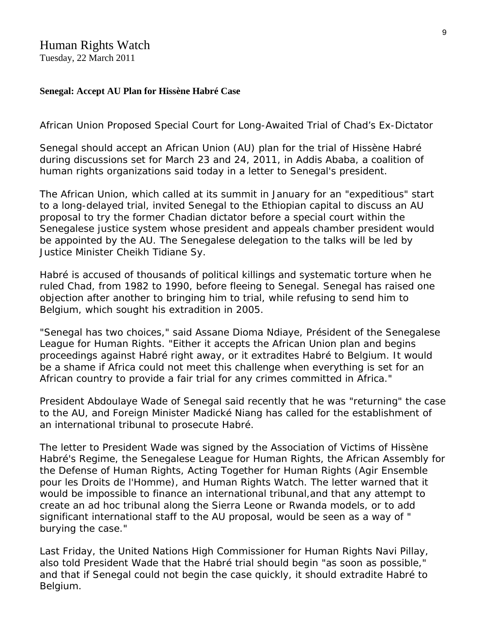Tuesday, 22 March 2011

#### **Senegal: Accept AU Plan for Hissène Habré Case**

African Union Proposed Special Court for Long-Awaited Trial of Chad's Ex-Dictator

Senegal should accept an African Union (AU) plan for the trial of Hissène Habré during discussions set for March 23 and 24, 2011, in Addis Ababa, a coalition of human rights organizations said today in a [letter](http://www.hrw.org/fr/node/97498) to Senegal's president.

The African Union, which called at its summit in January for an "expeditious" start to a long-delayed trial, invited Senegal to the Ethiopian capital to discuss an AU proposal to try the former Chadian dictator before a special court within the Senegalese justice system whose president and appeals chamber president would be appointed by the AU. The Senegalese delegation to the talks will be led by Justice Minister Cheikh Tidiane Sy.

Habré is accused of thousands of political killings and systematic torture when he ruled Chad, from 1982 to 1990, before fleeing to Senegal. Senegal has raised one objection after another to bringing him to trial, while refusing to send him to Belgium, which sought his extradition in 2005.

"Senegal has two choices," said Assane Dioma Ndiaye, Président of the Senegalese League for Human Rights. "Either it accepts the African Union plan and begins proceedings against Habré right away, or it extradites Habré to Belgium. It would be a shame if Africa could not meet this challenge when everything is set for an African country to provide a fair trial for any crimes committed in Africa."

President Abdoulaye Wade of Senegal said recently that he was "returning" the case to the AU, and Foreign Minister Madické Niang has called for the establishment of an international tribunal to prosecute Habré.

The letter to President Wade was signed by the Association of Victims of Hissène Habré's Regime, the Senegalese League for Human Rights, the African Assembly for the Defense of Human Rights, Acting Together for Human Rights (Agir Ensemble pour les Droits de l'Homme), and Human Rights Watch. The letter warned that it would be impossible to finance an international tribunal,and that any attempt to create an ad hoc tribunal along the Sierra Leone or Rwanda models, or to add significant international staff to the AU proposal, would be seen as a way of " burying the case."

Last Friday, the United Nations High Commissioner for Human Rights Navi Pillay, also told President Wade that the Habré trial should begin "as soon as possible," and that if Senegal could not begin the case quickly, it should extradite Habré to Belgium.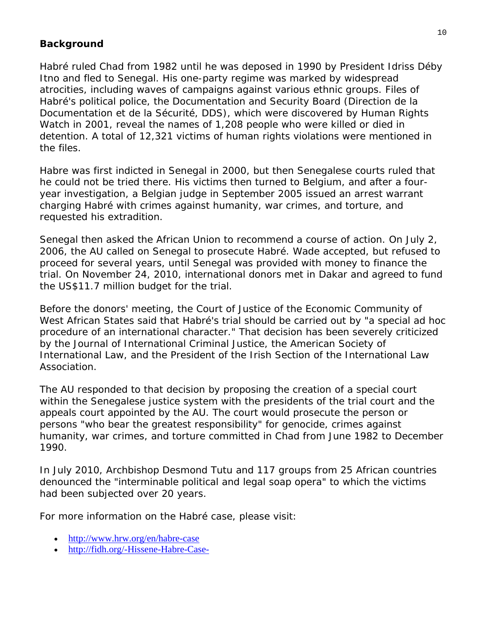#### **Background**

Habré ruled Chad from 1982 until he was deposed in 1990 by President Idriss Déby Itno and fled to Senegal. His one-party regime was marked by widespread atrocities, including waves of campaigns against various ethnic groups. Files of Habré's political police, the Documentation and Security Board (Direction de la Documentation et de la Sécurité, DDS), which were discovered by Human Rights Watch in 2001, reveal the names of 1,208 people who were killed or died in detention. A total of 12,321 victims of human rights violations were mentioned in the files.

Habre was first indicted in Senegal in 2000, but then Senegalese courts ruled that he could not be tried there. His victims then turned to Belgium, and after a fouryear investigation, a Belgian judge in September 2005 issued an arrest warrant charging Habré with crimes against humanity, war crimes, and torture, and requested his extradition.

Senegal then asked the African Union to recommend a course of action. On July 2, 2006, the AU called on Senegal to prosecute Habré. Wade accepted, but refused to proceed for several years, until Senegal was provided with money to finance the trial. On November 24, 2010, international donors met in Dakar and agreed to fund the US\$11.7 million budget for the trial.

Before the donors' meeting, the Court of Justice of the Economic Community of West African States said that Habré's trial should be carried out by "a special ad hoc procedure of an international character." That decision has been severely criticized by the Journal of International Criminal Justice, the American Society of International Law, and the President of the Irish Section of the International Law Association.

The AU responded to that decision by proposing the creation of a special court within the Senegalese justice system with the presidents of the trial court and the appeals court appointed by the AU. The court would prosecute the person or persons "who bear the greatest responsibility" for genocide, crimes against humanity, war crimes, and torture committed in Chad from June 1982 to December 1990.

In July 2010, Archbishop Desmond Tutu and 117 groups from 25 African countries denounced the "interminable political and legal soap opera" to which the victims had been subjected over 20 years.

For more information on the Habré case, please visit:

- [http://www.hrw.org/en/habre-case](http://hrw.pr-optout.com/Url.aspx?528421x282252x-495418)
- [http://fidh.org/-Hissene-Habre-Case-](http://hrw.pr-optout.com/Url.aspx?528421x282251x-214617)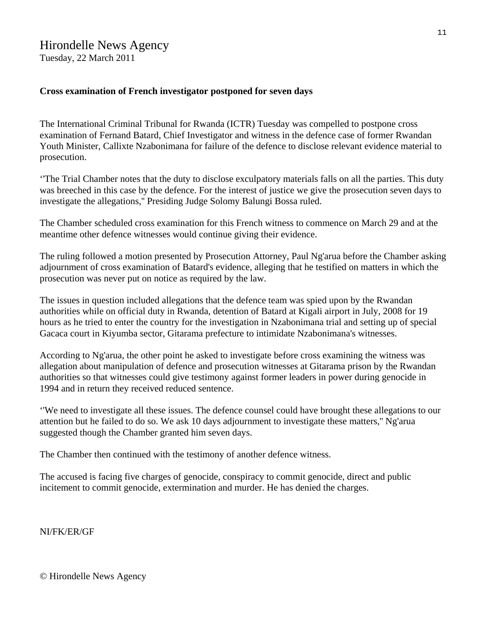## Hirondelle News Agency

Tuesday, 22 March 2011

#### **Cross examination of French investigator postponed for seven days**

The International Criminal Tribunal for Rwanda (ICTR) Tuesday was compelled to postpone cross examination of Fernand Batard, Chief Investigator and witness in the defence case of former Rwandan Youth Minister, Callixte Nzabonimana for failure of the defence to disclose relevant evidence material to prosecution.

''The Trial Chamber notes that the duty to disclose exculpatory materials falls on all the parties. This duty was breeched in this case by the defence. For the interest of justice we give the prosecution seven days to investigate the allegations,'' Presiding Judge Solomy Balungi Bossa ruled.

The Chamber scheduled cross examination for this French witness to commence on March 29 and at the meantime other defence witnesses would continue giving their evidence.

The ruling followed a motion presented by Prosecution Attorney, Paul Ng'arua before the Chamber asking adjournment of cross examination of Batard's evidence, alleging that he testified on matters in which the prosecution was never put on notice as required by the law.

The issues in question included allegations that the defence team was spied upon by the Rwandan authorities while on official duty in Rwanda, detention of Batard at Kigali airport in July, 2008 for 19 hours as he tried to enter the country for the investigation in Nzabonimana trial and setting up of special Gacaca court in Kiyumba sector, Gitarama prefecture to intimidate Nzabonimana's witnesses.

According to Ng'arua, the other point he asked to investigate before cross examining the witness was allegation about manipulation of defence and prosecution witnesses at Gitarama prison by the Rwandan authorities so that witnesses could give testimony against former leaders in power during genocide in 1994 and in return they received reduced sentence.

''We need to investigate all these issues. The defence counsel could have brought these allegations to our attention but he failed to do so. We ask 10 days adjournment to investigate these matters,'' Ng'arua suggested though the Chamber granted him seven days.

The Chamber then continued with the testimony of another defence witness.

The accused is facing five charges of genocide, conspiracy to commit genocide, direct and public incitement to commit genocide, extermination and murder. He has denied the charges.

NI/FK/ER/GF